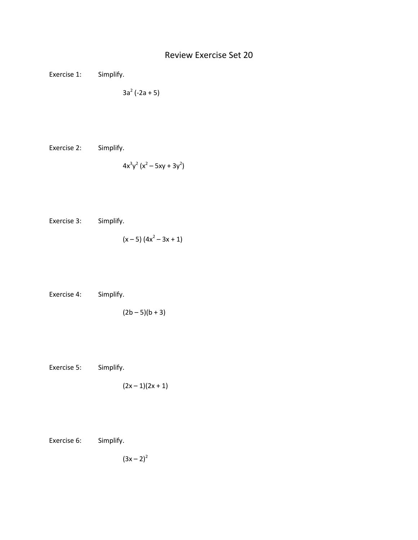## Review Exercise Set 20

Exercise 1: Simplify.

$$
3a^2(-2a+5)
$$

Exercise 2: Simplify.

$$
4x^3y^2(x^2-5xy+3y^2)
$$

Exercise 3: Simplify.

$$
(x-5) (4x2 - 3x + 1)
$$

Exercise 4: Simplify.

$$
(2b-5)(b+3)
$$

Exercise 5: Simplify.

$$
(2x-1)(2x+1)
$$

Exercise 6: Simplify.

$$
(3x - 2)^2
$$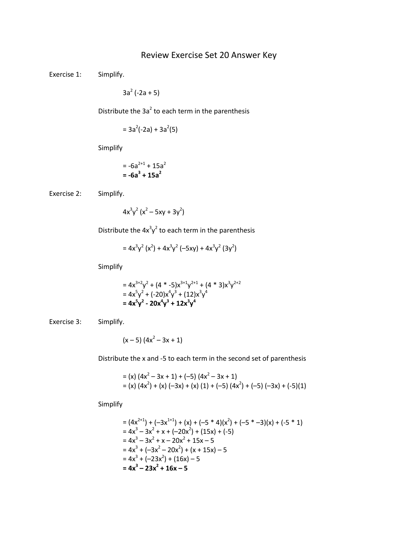## Review Exercise Set 20 Answer Key

Exercise 1: Simplify.

 $3a^2$  (-2a + 5)

Distribute the  $3a^2$  to each term in the parenthesis

 $= 3a^2(-2a) + 3a^2(5)$ 

Simplify

$$
= -6a^{2+1} + 15a^2
$$

$$
= -6a^3 + 15a^2
$$

Exercise 2: Simplify.

$$
4x^3y^2(x^2-5xy+3y^2)
$$

Distribute the  $4x^3y^2$  to each term in the parenthesis

$$
=4x^{3}y^{2}(x^{2})+4x^{3}y^{2}(-5xy)+4x^{3}y^{2}(3y^{2})
$$

Simplify

$$
= 4x3+2y2 + (4 * -5)x3+1y2+1 + (4 * 3)x3y2+2
$$
  
= 4x<sup>5</sup>y<sup>2</sup> + (-20)x<sup>4</sup>y<sup>3</sup> + (12)x<sup>3</sup>y<sup>4</sup>  
= 4x<sup>5</sup>y<sup>2</sup> - 20x<sup>4</sup>y<sup>3</sup> + 12x<sup>3</sup>y<sup>4</sup>

Exercise 3: Simplify.

$$
(x-5) (4x2 - 3x + 1)
$$

Distribute the x and -5 to each term in the second set of parenthesis

= (x) 
$$
(4x^2 - 3x + 1) + (-5) (4x^2 - 3x + 1)
$$
  
= (x)  $(4x^2) + (x) (-3x) + (x) (1) + (-5) (4x^2) + (-5) (-3x) + (-5) (1)$ 

Simplify

$$
= (4x^{2+1}) + (-3x^{1+1}) + (x) + (-5 * 4)(x^2) + (-5 * -3)(x) + (-5 * 1)
$$
  
\n
$$
= 4x^3 - 3x^2 + x + (-20x^2) + (15x) + (-5)
$$
  
\n
$$
= 4x^3 - 3x^2 + x - 20x^2 + 15x - 5
$$
  
\n
$$
= 4x^3 + (-3x^2 - 20x^2) + (x + 15x) - 5
$$
  
\n
$$
= 4x^3 + (-23x^2) + (16x) - 5
$$
  
\n
$$
= 4x^3 - 23x^2 + 16x - 5
$$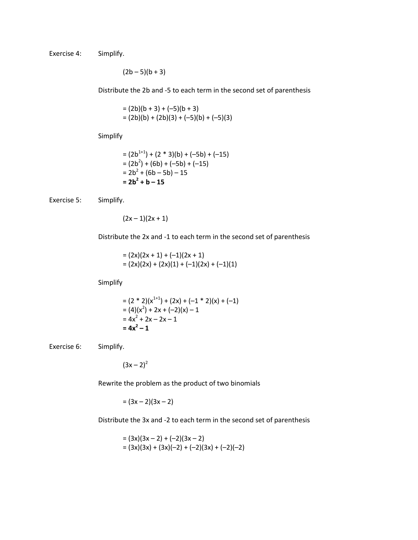Exercise 4: Simplify.

 $(2b - 5)(b + 3)$ 

Distribute the 2b and -5 to each term in the second set of parenthesis

$$
= (2b)(b + 3) + (-5)(b + 3)
$$
  
= (2b)(b) + (2b)(3) + (-5)(b) + (-5)(3)

Simplify

$$
= (2b1+1) + (2 * 3)(b) + (-5b) + (-15)
$$
  
= (2b<sup>2</sup>) + (6b) + (-5b) + (-15)  
= 2b<sup>2</sup> + (6b - 5b) - 15  
= 2b<sup>2</sup> + b - 15

Exercise 5: Simplify.

 $(2x - 1)(2x + 1)$ 

Distribute the 2x and -1 to each term in the second set of parenthesis

 $= (2x)(2x + 1) + (-1)(2x + 1)$  $= (2x)(2x) + (2x)(1) + (-1)(2x) + (-1)(1)$ 

Simplify

$$
= (2 * 2)(x1+1) + (2x) + (-1 * 2)(x) + (-1)
$$
  
= (4)(x<sup>2</sup>) + 2x + (-2)(x) - 1  
= 4x<sup>2</sup> + 2x - 2x - 1  
= 4x<sup>2</sup> - 1

Exercise 6: Simplify.

$$
(3x - 2)^2
$$

Rewrite the problem as the product of two binomials

 $=(3x-2)(3x-2)$ 

Distribute the 3x and -2 to each term in the second set of parenthesis

$$
= (3x)(3x-2) + (-2)(3x-2)
$$
  
= (3x)(3x) + (3x)(-2) + (-2)(3x) + (-2)(-2)